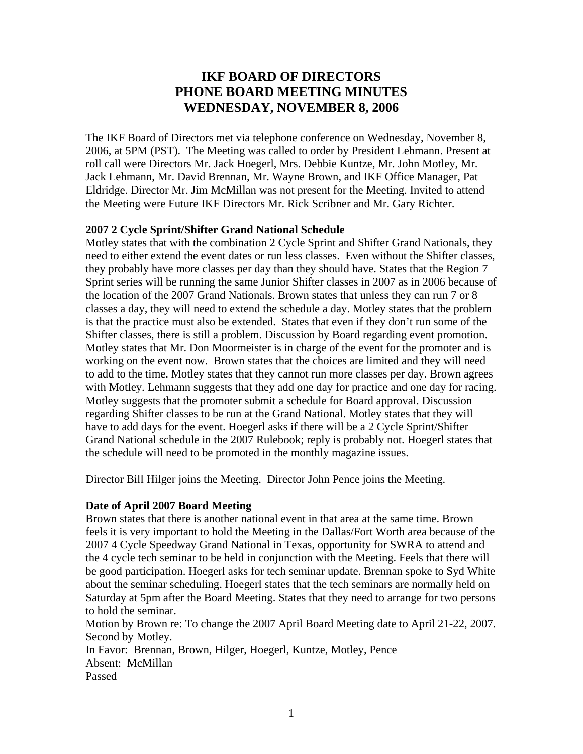# **IKF BOARD OF DIRECTORS PHONE BOARD MEETING MINUTES WEDNESDAY, NOVEMBER 8, 2006**

The IKF Board of Directors met via telephone conference on Wednesday, November 8, 2006, at 5PM (PST). The Meeting was called to order by President Lehmann. Present at roll call were Directors Mr. Jack Hoegerl, Mrs. Debbie Kuntze, Mr. John Motley, Mr. Jack Lehmann, Mr. David Brennan, Mr. Wayne Brown, and IKF Office Manager, Pat Eldridge. Director Mr. Jim McMillan was not present for the Meeting. Invited to attend the Meeting were Future IKF Directors Mr. Rick Scribner and Mr. Gary Richter.

## **2007 2 Cycle Sprint/Shifter Grand National Schedule**

Motley states that with the combination 2 Cycle Sprint and Shifter Grand Nationals, they need to either extend the event dates or run less classes. Even without the Shifter classes, they probably have more classes per day than they should have. States that the Region 7 Sprint series will be running the same Junior Shifter classes in 2007 as in 2006 because of the location of the 2007 Grand Nationals. Brown states that unless they can run 7 or 8 classes a day, they will need to extend the schedule a day. Motley states that the problem is that the practice must also be extended. States that even if they don't run some of the Shifter classes, there is still a problem. Discussion by Board regarding event promotion. Motley states that Mr. Don Moormeister is in charge of the event for the promoter and is working on the event now. Brown states that the choices are limited and they will need to add to the time. Motley states that they cannot run more classes per day. Brown agrees with Motley. Lehmann suggests that they add one day for practice and one day for racing. Motley suggests that the promoter submit a schedule for Board approval. Discussion regarding Shifter classes to be run at the Grand National. Motley states that they will have to add days for the event. Hoegerl asks if there will be a 2 Cycle Sprint/Shifter Grand National schedule in the 2007 Rulebook; reply is probably not. Hoegerl states that the schedule will need to be promoted in the monthly magazine issues.

Director Bill Hilger joins the Meeting. Director John Pence joins the Meeting.

## **Date of April 2007 Board Meeting**

Brown states that there is another national event in that area at the same time. Brown feels it is very important to hold the Meeting in the Dallas/Fort Worth area because of the 2007 4 Cycle Speedway Grand National in Texas, opportunity for SWRA to attend and the 4 cycle tech seminar to be held in conjunction with the Meeting. Feels that there will be good participation. Hoegerl asks for tech seminar update. Brennan spoke to Syd White about the seminar scheduling. Hoegerl states that the tech seminars are normally held on Saturday at 5pm after the Board Meeting. States that they need to arrange for two persons to hold the seminar.

Motion by Brown re: To change the 2007 April Board Meeting date to April 21-22, 2007. Second by Motley.

In Favor: Brennan, Brown, Hilger, Hoegerl, Kuntze, Motley, Pence Absent: McMillan Passed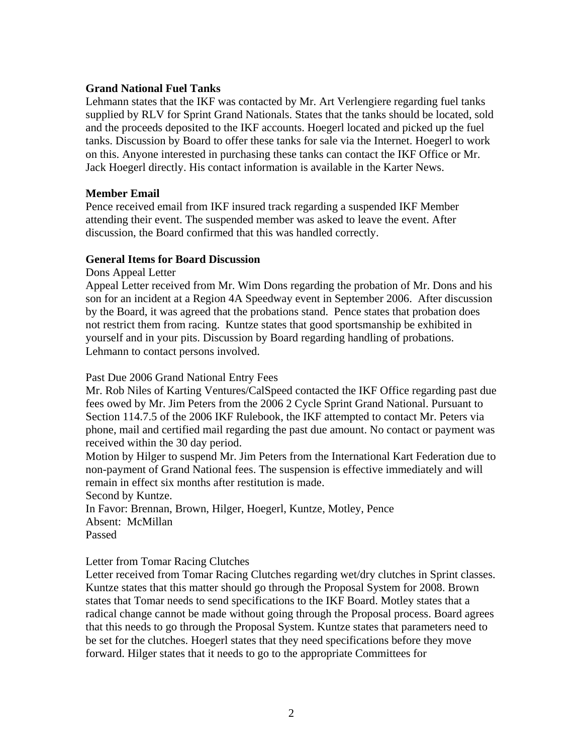### **Grand National Fuel Tanks**

Lehmann states that the IKF was contacted by Mr. Art Verlengiere regarding fuel tanks supplied by RLV for Sprint Grand Nationals. States that the tanks should be located, sold and the proceeds deposited to the IKF accounts. Hoegerl located and picked up the fuel tanks. Discussion by Board to offer these tanks for sale via the Internet. Hoegerl to work on this. Anyone interested in purchasing these tanks can contact the IKF Office or Mr. Jack Hoegerl directly. His contact information is available in the Karter News.

## **Member Email**

Pence received email from IKF insured track regarding a suspended IKF Member attending their event. The suspended member was asked to leave the event. After discussion, the Board confirmed that this was handled correctly.

## **General Items for Board Discussion**

Dons Appeal Letter

Appeal Letter received from Mr. Wim Dons regarding the probation of Mr. Dons and his son for an incident at a Region 4A Speedway event in September 2006. After discussion by the Board, it was agreed that the probations stand. Pence states that probation does not restrict them from racing. Kuntze states that good sportsmanship be exhibited in yourself and in your pits. Discussion by Board regarding handling of probations. Lehmann to contact persons involved.

## Past Due 2006 Grand National Entry Fees

Mr. Rob Niles of Karting Ventures/CalSpeed contacted the IKF Office regarding past due fees owed by Mr. Jim Peters from the 2006 2 Cycle Sprint Grand National. Pursuant to Section 114.7.5 of the 2006 IKF Rulebook, the IKF attempted to contact Mr. Peters via phone, mail and certified mail regarding the past due amount. No contact or payment was received within the 30 day period.

Motion by Hilger to suspend Mr. Jim Peters from the International Kart Federation due to non-payment of Grand National fees. The suspension is effective immediately and will remain in effect six months after restitution is made.

Second by Kuntze.

In Favor: Brennan, Brown, Hilger, Hoegerl, Kuntze, Motley, Pence Absent: McMillan Passed

### Letter from Tomar Racing Clutches

Letter received from Tomar Racing Clutches regarding wet/dry clutches in Sprint classes. Kuntze states that this matter should go through the Proposal System for 2008. Brown states that Tomar needs to send specifications to the IKF Board. Motley states that a radical change cannot be made without going through the Proposal process. Board agrees that this needs to go through the Proposal System. Kuntze states that parameters need to be set for the clutches. Hoegerl states that they need specifications before they move forward. Hilger states that it needs to go to the appropriate Committees for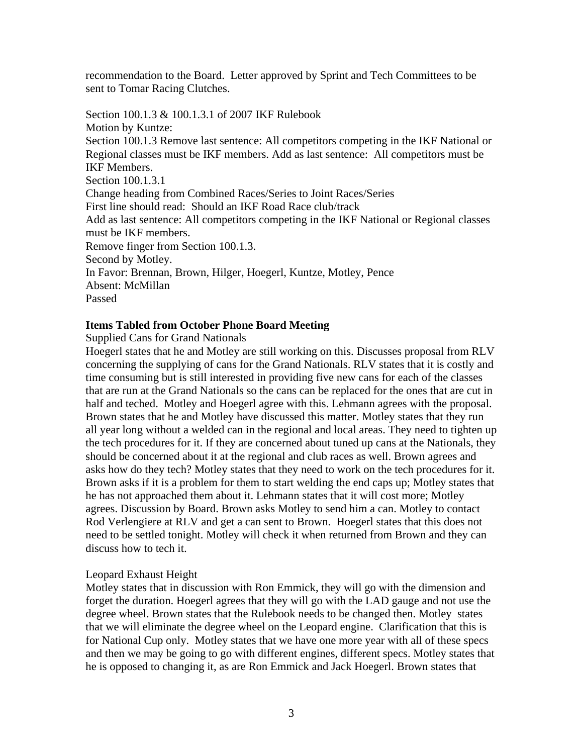recommendation to the Board. Letter approved by Sprint and Tech Committees to be sent to Tomar Racing Clutches.

Section 100.1.3 & 100.1.3.1 of 2007 IKF Rulebook Motion by Kuntze: Section 100.1.3 Remove last sentence: All competitors competing in the IKF National or Regional classes must be IKF members. Add as last sentence: All competitors must be IKF Members. Section 100.1.3.1 Change heading from Combined Races/Series to Joint Races/Series First line should read: Should an IKF Road Race club/track Add as last sentence: All competitors competing in the IKF National or Regional classes must be IKF members. Remove finger from Section 100.1.3. Second by Motley. In Favor: Brennan, Brown, Hilger, Hoegerl, Kuntze, Motley, Pence Absent: McMillan Passed

## **Items Tabled from October Phone Board Meeting**

Supplied Cans for Grand Nationals

Hoegerl states that he and Motley are still working on this. Discusses proposal from RLV concerning the supplying of cans for the Grand Nationals. RLV states that it is costly and time consuming but is still interested in providing five new cans for each of the classes that are run at the Grand Nationals so the cans can be replaced for the ones that are cut in half and teched. Motley and Hoegerl agree with this. Lehmann agrees with the proposal. Brown states that he and Motley have discussed this matter. Motley states that they run all year long without a welded can in the regional and local areas. They need to tighten up the tech procedures for it. If they are concerned about tuned up cans at the Nationals, they should be concerned about it at the regional and club races as well. Brown agrees and asks how do they tech? Motley states that they need to work on the tech procedures for it. Brown asks if it is a problem for them to start welding the end caps up; Motley states that he has not approached them about it. Lehmann states that it will cost more; Motley agrees. Discussion by Board. Brown asks Motley to send him a can. Motley to contact Rod Verlengiere at RLV and get a can sent to Brown. Hoegerl states that this does not need to be settled tonight. Motley will check it when returned from Brown and they can discuss how to tech it.

### Leopard Exhaust Height

Motley states that in discussion with Ron Emmick, they will go with the dimension and forget the duration. Hoegerl agrees that they will go with the LAD gauge and not use the degree wheel. Brown states that the Rulebook needs to be changed then. Motley states that we will eliminate the degree wheel on the Leopard engine. Clarification that this is for National Cup only. Motley states that we have one more year with all of these specs and then we may be going to go with different engines, different specs. Motley states that he is opposed to changing it, as are Ron Emmick and Jack Hoegerl. Brown states that